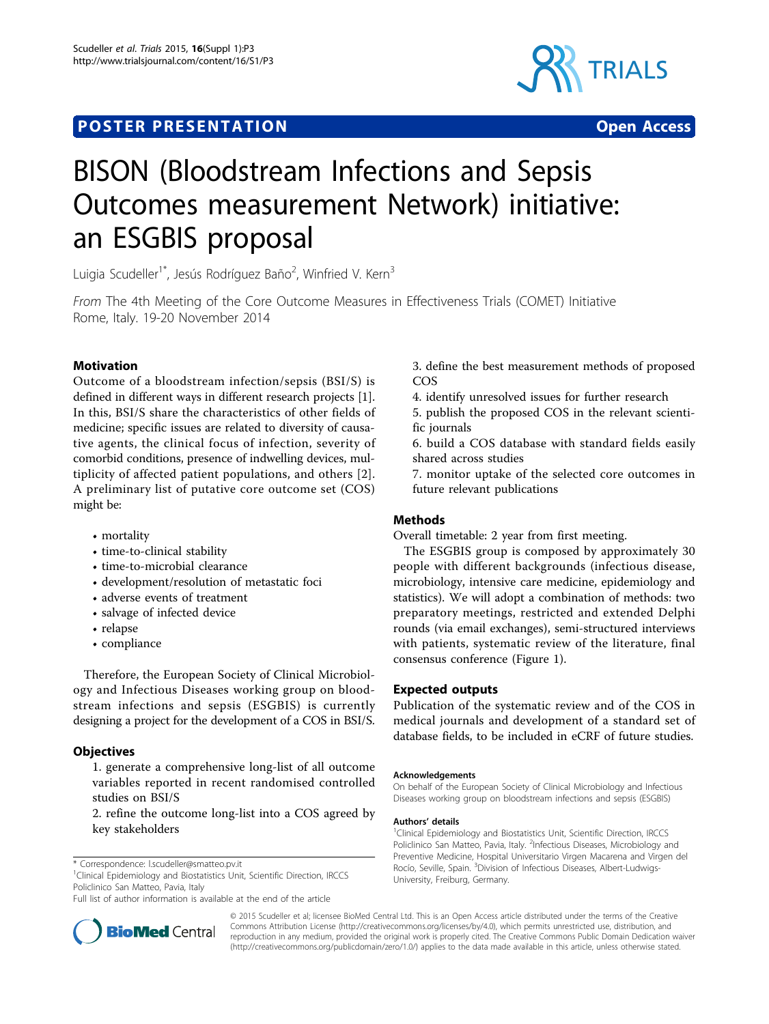



# BISON (Bloodstream Infections and Sepsis Outcomes measurement Network) initiative: an ESGBIS proposal

Luigia Scudeller<sup>1\*</sup>, Jesús Rodríguez Baño<sup>2</sup>, Winfried V. Kern<sup>3</sup>

From The 4th Meeting of the Core Outcome Measures in Effectiveness Trials (COMET) Initiative Rome, Italy. 19-20 November 2014

# Motivation

Outcome of a bloodstream infection/sepsis (BSI/S) is defined in different ways in different research projects [\[1](#page-1-0)]. In this, BSI/S share the characteristics of other fields of medicine; specific issues are related to diversity of causative agents, the clinical focus of infection, severity of comorbid conditions, presence of indwelling devices, multiplicity of affected patient populations, and others [[2](#page-1-0)]. A preliminary list of putative core outcome set (COS) might be:

- mortality
- time-to-clinical stability
- time-to-microbial clearance
- development/resolution of metastatic foci
- adverse events of treatment
- salvage of infected device
- relapse
- compliance

Therefore, the European Society of Clinical Microbiology and Infectious Diseases working group on bloodstream infections and sepsis (ESGBIS) is currently designing a project for the development of a COS in BSI/S.

# **Objectives**

1. generate a comprehensive long-list of all outcome variables reported in recent randomised controlled studies on BSI/S

2. refine the outcome long-list into a COS agreed by key stakeholders

\* Correspondence: [l.scudeller@smatteo.pv.it](mailto:l.scudeller@smatteo.pv.it)

<sup>1</sup>Clinical Epidemiology and Biostatistics Unit, Scientific Direction, IRCCS Policlinico San Matteo, Pavia, Italy

Full list of author information is available at the end of the article



3. define the best measurement methods of proposed COS

4. identify unresolved issues for further research

5. publish the proposed COS in the relevant scientific journals

6. build a COS database with standard fields easily shared across studies

7. monitor uptake of the selected core outcomes in future relevant publications

# **Methods**

Overall timetable: 2 year from first meeting.

The ESGBIS group is composed by approximately 30 people with different backgrounds (infectious disease, microbiology, intensive care medicine, epidemiology and statistics). We will adopt a combination of methods: two preparatory meetings, restricted and extended Delphi rounds (via email exchanges), semi-structured interviews with patients, systematic review of the literature, final consensus conference (Figure [1\)](#page-1-0).

# Expected outputs

Publication of the systematic review and of the COS in medical journals and development of a standard set of database fields, to be included in eCRF of future studies.

## Acknowledgements

On behalf of the European Society of Clinical Microbiology and Infectious Diseases working group on bloodstream infections and sepsis (ESGBIS)

## Authors' details <sup>1</sup>

<sup>1</sup>Clinical Epidemiology and Biostatistics Unit, Scientific Direction, IRCCS Policlinico San Matteo, Pavia, Italy. <sup>2</sup>Infectious Diseases, Microbiology and Preventive Medicine, Hospital Universitario Virgen Macarena and Virgen del Rocío, Seville, Spain. <sup>3</sup>Division of Infectious Diseases, Albert-Ludwigs-University, Freiburg, Germany.

© 2015 Scudeller et al; licensee BioMed Central Ltd. This is an Open Access article distributed under the terms of the Creative Commons Attribution License [\(http://creativecommons.org/licenses/by/4.0](http://creativecommons.org/licenses/by/4.0)), which permits unrestricted use, distribution, and reproduction in any medium, provided the original work is properly cited. The Creative Commons Public Domain Dedication waiver [\(http://creativecommons.org/publicdomain/zero/1.0/](http://creativecommons.org/publicdomain/zero/1.0/)) applies to the data made available in this article, unless otherwise stated.